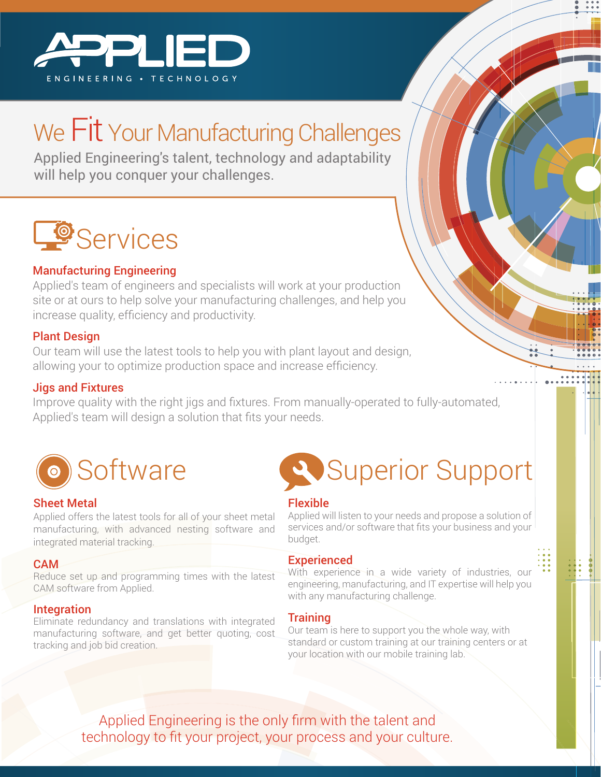

## We Fit Your Manufacturing Challenges

Applied Engineering's talent, technology and adaptability will help you conquer your challenges.

# **LO** Services

#### Manufacturing Engineering

Applied's team of engineers and specialists will work at your production site or at ours to help solve your manufacturing challenges, and help you increase quality, efficiency and productivity.

#### Plant Design

Our team will use the latest tools to help you with plant layout and design, allowing your to optimize production space and increase efficiency.

#### Jigs and Fixtures

Improve quality with the right jigs and fixtures. From manually-operated to fully-automated, Applied's team will design a solution that fits your needs.



#### Sheet Metal

Applied offers the latest tools for all of your sheet metal manufacturing, with advanced nesting software and integrated material tracking.

#### CAM

Reduce set up and programming times with the latest CAM software from Applied.

#### Integration

Eliminate redundancy and translations with integrated manufacturing software, and get better quoting, cost tracking and job bid creation.



#### Flexible

Applied will listen to your needs and propose a solution of services and/or software that fits your business and your budget.

#### **Experienced**

With experience in a wide variety of industries, our engineering, manufacturing, and IT expertise will help you with any manufacturing challenge.

#### Training

Our team is here to support you the whole way, with standard or custom training at our training centers or at your location with our mobile training lab.

Applied Engineering is the only firm with the talent and technology to fit your project, your process and your culture.